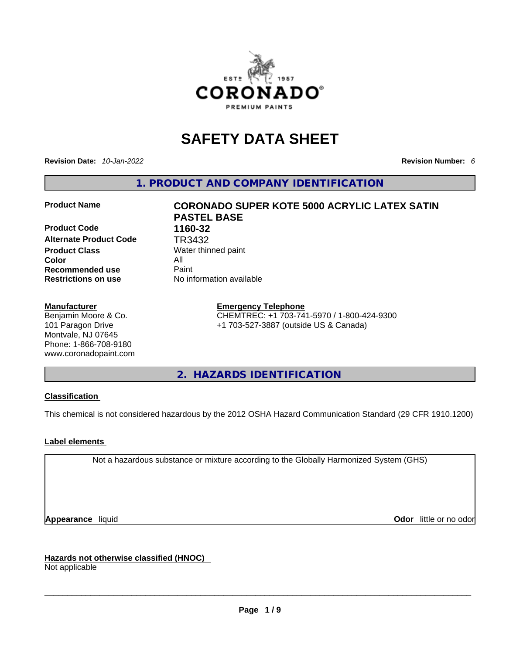

# **SAFETY DATA SHEET**

**Revision Date:** *10-Jan-2022* **Revision Number:** *6*

**1. PRODUCT AND COMPANY IDENTIFICATION** 

**Product Code 1160-32 Alternate Product Code TR3432**<br>**Product Class** Water thin **Color** All **Recommended use All Property Recommended use Restrictions on use** No information available

# **Manufacturer**

Benjamin Moore & Co. 101 Paragon Drive Montvale, NJ 07645 Phone: 1-866-708-9180 www.coronadopaint.com

# **Product Name CORONADO SUPER KOTE 5000 ACRYLIC LATEX SATIN PASTEL BASE**

**Water thinned paint** 

# **Emergency Telephone**

CHEMTREC: +1 703-741-5970 / 1-800-424-9300 +1 703-527-3887 (outside US & Canada)

**2. HAZARDS IDENTIFICATION** 

# **Classification**

This chemical is not considered hazardous by the 2012 OSHA Hazard Communication Standard (29 CFR 1910.1200)

# **Label elements**

Not a hazardous substance or mixture according to the Globally Harmonized System (GHS)

**Appearance** liquid **Odor 11** and **Odor 11** and **Odor 11** and **Odor 11** and **Odor 11** and **Odor** 11 and **Odor** 11 and **Odor** 11 and **Odor** 11 and **Odor** 11 and **Odor** 11 and **Odor** 11 and **Odor** 11 and **Odor** 11 and **Odor** 

**Hazards not otherwise classified (HNOC)**  Not applicable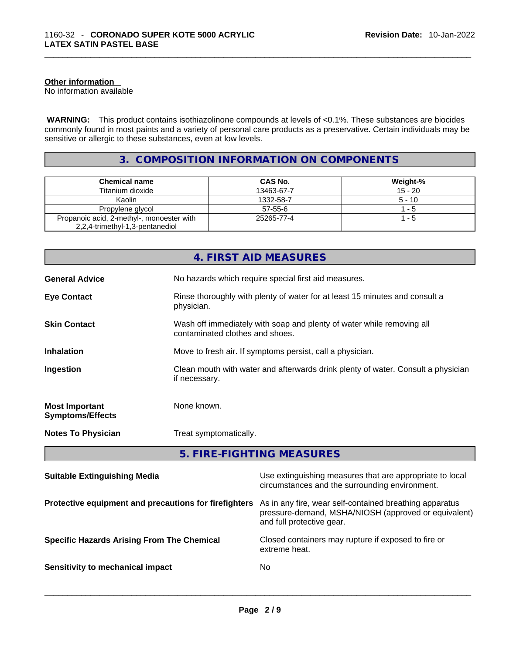# **Other information**

No information available

 **WARNING:** This product contains isothiazolinone compounds at levels of <0.1%. These substances are biocides commonly found in most paints and a variety of personal care products as a preservative. Certain individuals may be sensitive or allergic to these substances, even at low levels.

# **3. COMPOSITION INFORMATION ON COMPONENTS**

| <b>Chemical name</b>                      | CAS No.    | <b>Weight-%</b> |
|-------------------------------------------|------------|-----------------|
| Titanium dioxide                          | 13463-67-7 | $15 - 20$       |
| Kaolin                                    | 1332-58-7  | 5 - 10          |
| Propylene glycol                          | $57-55-6$  | 1 - 5           |
| Propanoic acid, 2-methyl-, monoester with | 25265-77-4 | 1 - 5           |
| 2,2,4-trimethyl-1,3-pentanediol           |            |                 |

|                                                  | 4. FIRST AID MEASURES                                                                                    |
|--------------------------------------------------|----------------------------------------------------------------------------------------------------------|
| <b>General Advice</b>                            | No hazards which require special first aid measures.                                                     |
| <b>Eye Contact</b>                               | Rinse thoroughly with plenty of water for at least 15 minutes and consult a<br>physician.                |
| <b>Skin Contact</b>                              | Wash off immediately with soap and plenty of water while removing all<br>contaminated clothes and shoes. |
| <b>Inhalation</b>                                | Move to fresh air. If symptoms persist, call a physician.                                                |
| Ingestion                                        | Clean mouth with water and afterwards drink plenty of water. Consult a physician<br>if necessary.        |
| <b>Most Important</b><br><b>Symptoms/Effects</b> | None known.                                                                                              |
| <b>Notes To Physician</b>                        | Treat symptomatically.                                                                                   |

**5. FIRE-FIGHTING MEASURES** 

| <b>Suitable Extinguishing Media</b>                   | Use extinguishing measures that are appropriate to local<br>circumstances and the surrounding environment.                                   |
|-------------------------------------------------------|----------------------------------------------------------------------------------------------------------------------------------------------|
| Protective equipment and precautions for firefighters | As in any fire, wear self-contained breathing apparatus<br>pressure-demand, MSHA/NIOSH (approved or equivalent)<br>and full protective gear. |
| <b>Specific Hazards Arising From The Chemical</b>     | Closed containers may rupture if exposed to fire or<br>extreme heat.                                                                         |
| Sensitivity to mechanical impact                      | No                                                                                                                                           |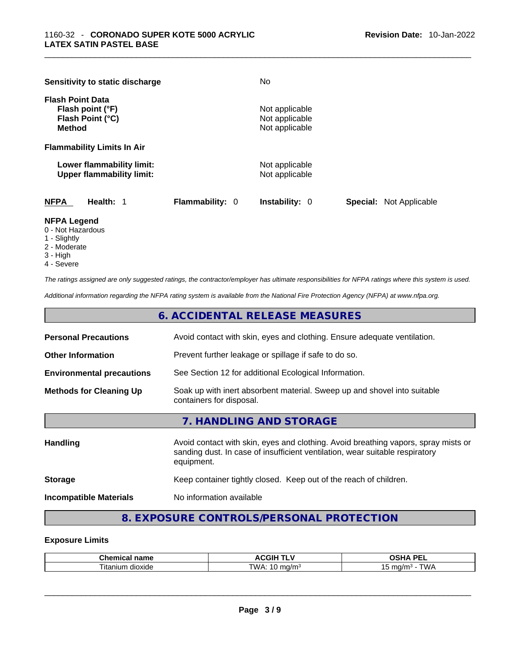|                                          | Sensitivity to static discharge                               |                        | No.                                                |                                |
|------------------------------------------|---------------------------------------------------------------|------------------------|----------------------------------------------------|--------------------------------|
| <b>Flash Point Data</b><br><b>Method</b> | Flash point (°F)<br>Flash Point (°C)                          |                        | Not applicable<br>Not applicable<br>Not applicable |                                |
|                                          | <b>Flammability Limits In Air</b>                             |                        |                                                    |                                |
|                                          | Lower flammability limit:<br><b>Upper flammability limit:</b> |                        | Not applicable<br>Not applicable                   |                                |
| <b>NFPA</b>                              | Health: 1                                                     | <b>Flammability: 0</b> | <b>Instability: 0</b>                              | <b>Special:</b> Not Applicable |

### **NFPA Legend**

- 0 Not Hazardous
- 1 Slightly
- 2 Moderate
- 3 High
- 4 Severe

*The ratings assigned are only suggested ratings, the contractor/employer has ultimate responsibilities for NFPA ratings where this system is used.* 

*Additional information regarding the NFPA rating system is available from the National Fire Protection Agency (NFPA) at www.nfpa.org.* 

|                                  | 6. ACCIDENTAL RELEASE MEASURES                                                                       |
|----------------------------------|------------------------------------------------------------------------------------------------------|
| <b>Personal Precautions</b>      | Avoid contact with skin, eyes and clothing. Ensure adequate ventilation.                             |
| <b>Other Information</b>         | Prevent further leakage or spillage if safe to do so.                                                |
| <b>Environmental precautions</b> | See Section 12 for additional Ecological Information.                                                |
| <b>Methods for Cleaning Up</b>   | Soak up with inert absorbent material. Sweep up and shovel into suitable<br>containers for disposal. |
|                                  | 7. HANDLING AND STORAGE                                                                              |

| <b>Handling</b>               | Avoid contact with skin, eyes and clothing. Avoid breathing vapors, spray mists or<br>sanding dust. In case of insufficient ventilation, wear suitable respiratory<br>equipment. |
|-------------------------------|----------------------------------------------------------------------------------------------------------------------------------------------------------------------------------|
| <b>Storage</b>                | Keep container tightly closed. Keep out of the reach of children.                                                                                                                |
| <b>Incompatible Materials</b> | No information available                                                                                                                                                         |

# **8. EXPOSURE CONTROLS/PERSONAL PROTECTION**

# **Exposure Limits**

| $\sim$ $\sim$ $\sim$<br>name<br>тиса.<br>unen | . <b>.</b><br><b>\CGIF</b><br>. .            | <b>DE</b><br>பட<br>--                                     |
|-----------------------------------------------|----------------------------------------------|-----------------------------------------------------------|
| dioxide<br>. itanium                          | TW/<br>ma/m∘<br>$\cdot$ $\bm{\omega}$<br>. . | $\mathbf{u}$<br>, ma/m<br><b>VVF</b><br>.<br><b>v</b> v / |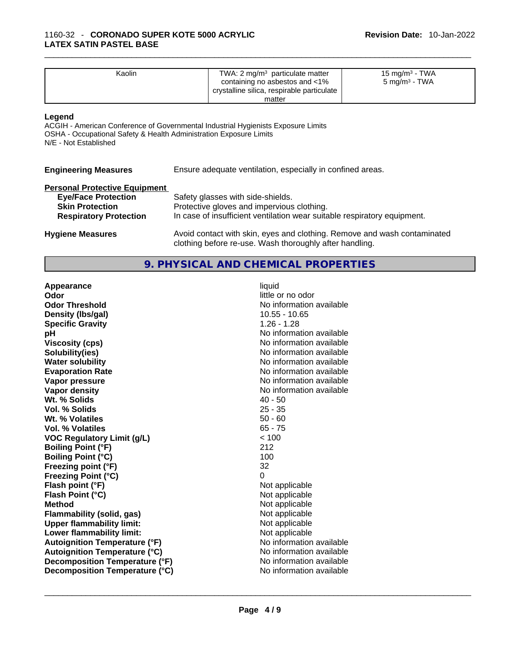| Kaolin | TWA: $2 \text{ mg/m}^3$ particulate matter<br>containing no asbestos and <1%<br>crystalline silica, respirable particulate | $15 \text{ mg/m}^3$ - TWA<br>$5 \text{ ma/m}^3$ - TWA |  |
|--------|----------------------------------------------------------------------------------------------------------------------------|-------------------------------------------------------|--|
|        | matter                                                                                                                     |                                                       |  |

#### **Legend**

ACGIH - American Conference of Governmental Industrial Hygienists Exposure Limits OSHA - Occupational Safety & Health Administration Exposure Limits N/E - Not Established

# **Personal Protective Equipment**

| <b>Eye/Face Protection</b>    | Safety glasses with side-shields.                                        |
|-------------------------------|--------------------------------------------------------------------------|
| <b>Skin Protection</b>        | Protective gloves and impervious clothing.                               |
| <b>Respiratory Protection</b> | In case of insufficient ventilation wear suitable respiratory equipment. |

**Hygiene Measures** Avoid contact with skin, eyes and clothing. Remove and wash contaminated clothing before re-use. Wash thoroughly after handling.

# **9. PHYSICAL AND CHEMICAL PROPERTIES**

| Appearance                           | liquid                   |
|--------------------------------------|--------------------------|
| Odor                                 | little or no odor        |
| <b>Odor Threshold</b>                | No information available |
| Density (Ibs/gal)                    | $10.55 - 10.65$          |
| <b>Specific Gravity</b>              | $1.26 - 1.28$            |
| рH                                   | No information available |
| <b>Viscosity (cps)</b>               | No information available |
| Solubility(ies)                      | No information available |
| <b>Water solubility</b>              | No information available |
| <b>Evaporation Rate</b>              | No information available |
| Vapor pressure                       | No information available |
| <b>Vapor density</b>                 | No information available |
| Wt. % Solids                         | $40 - 50$                |
| Vol. % Solids                        | $25 - 35$                |
| Wt. % Volatiles                      | $50 - 60$                |
| Vol. % Volatiles                     | $65 - 75$                |
| <b>VOC Regulatory Limit (g/L)</b>    | < 100                    |
| <b>Boiling Point (°F)</b>            | 212                      |
| <b>Boiling Point (°C)</b>            | 100                      |
| Freezing point (°F)                  | 32                       |
| Freezing Point (°C)                  | 0                        |
| Flash point (°F)                     | Not applicable           |
| Flash Point (°C)                     | Not applicable           |
| <b>Method</b>                        | Not applicable           |
| Flammability (solid, gas)            | Not applicable           |
| <b>Upper flammability limit:</b>     | Not applicable           |
| Lower flammability limit:            | Not applicable           |
| <b>Autoignition Temperature (°F)</b> | No information available |
| <b>Autoignition Temperature (°C)</b> | No information available |
| Decomposition Temperature (°F)       | No information available |
| Decomposition Temperature (°C)       | No information available |
|                                      |                          |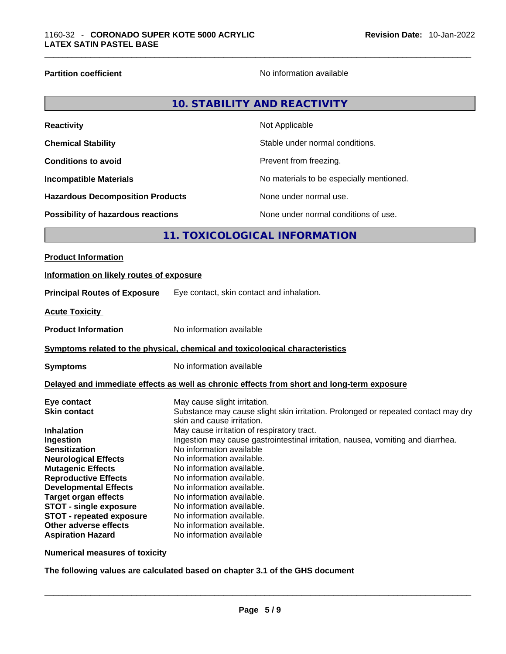**Partition coefficient Contract Contract Contract Contract Contract Contract Contract Contract Contract Contract Contract Contract Contract Contract Contract Contract Contract Contract Contract Contract Contract Contract** 

| 10. STABILITY AND REACTIVITY |
|------------------------------|
|------------------------------|

| <b>Reactivity</b>                         | Not Applicable                           |
|-------------------------------------------|------------------------------------------|
| <b>Chemical Stability</b>                 | Stable under normal conditions.          |
| <b>Conditions to avoid</b>                | Prevent from freezing.                   |
| <b>Incompatible Materials</b>             | No materials to be especially mentioned. |
| <b>Hazardous Decomposition Products</b>   | None under normal use.                   |
| <b>Possibility of hazardous reactions</b> | None under normal conditions of use.     |

# **11. TOXICOLOGICAL INFORMATION**

| <b>Product Information</b>                                                                                                                                                             |                                                                                                                                                                                                                                                                                                                                                                                                     |
|----------------------------------------------------------------------------------------------------------------------------------------------------------------------------------------|-----------------------------------------------------------------------------------------------------------------------------------------------------------------------------------------------------------------------------------------------------------------------------------------------------------------------------------------------------------------------------------------------------|
| Information on likely routes of exposure                                                                                                                                               |                                                                                                                                                                                                                                                                                                                                                                                                     |
| <b>Principal Routes of Exposure</b>                                                                                                                                                    | Eye contact, skin contact and inhalation.                                                                                                                                                                                                                                                                                                                                                           |
| <b>Acute Toxicity</b>                                                                                                                                                                  |                                                                                                                                                                                                                                                                                                                                                                                                     |
| <b>Product Information</b>                                                                                                                                                             | No information available                                                                                                                                                                                                                                                                                                                                                                            |
|                                                                                                                                                                                        | <b>Symptoms related to the physical, chemical and toxicological characteristics</b>                                                                                                                                                                                                                                                                                                                 |
| <b>Symptoms</b>                                                                                                                                                                        | No information available                                                                                                                                                                                                                                                                                                                                                                            |
|                                                                                                                                                                                        | Delayed and immediate effects as well as chronic effects from short and long-term exposure                                                                                                                                                                                                                                                                                                          |
| Eye contact<br><b>Skin contact</b><br><b>Inhalation</b><br>Ingestion<br><b>Sensitization</b><br><b>Neurological Effects</b><br><b>Mutagenic Effects</b><br><b>Reproductive Effects</b> | May cause slight irritation.<br>Substance may cause slight skin irritation. Prolonged or repeated contact may dry<br>skin and cause irritation.<br>May cause irritation of respiratory tract.<br>Ingestion may cause gastrointestinal irritation, nausea, vomiting and diarrhea.<br>No information available<br>No information available.<br>No information available.<br>No information available. |
| <b>Developmental Effects</b><br><b>Target organ effects</b><br><b>STOT - single exposure</b><br><b>STOT - repeated exposure</b><br>Other adverse effects<br><b>Aspiration Hazard</b>   | No information available.<br>No information available.<br>No information available.<br>No information available.<br>No information available.<br>No information available                                                                                                                                                                                                                           |

**Numerical measures of toxicity**

**The following values are calculated based on chapter 3.1 of the GHS document**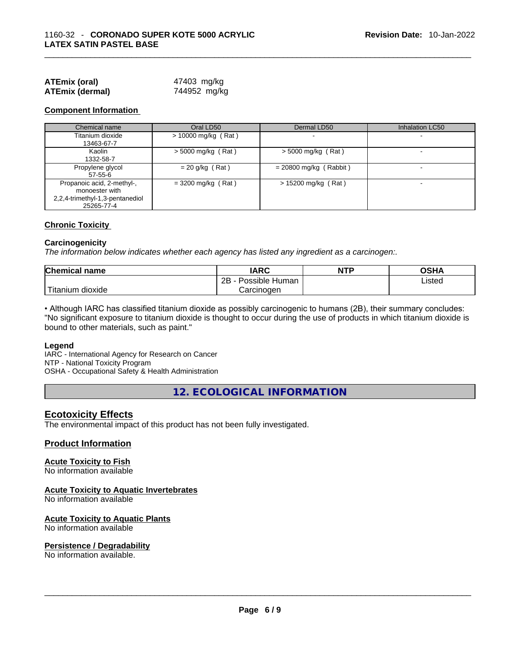| <b>ATEmix (oral)</b>   | 47403 mg/kg  |
|------------------------|--------------|
| <b>ATEmix (dermal)</b> | 744952 mg/kg |

# **Component Information**

| Chemical name                                                                                 | Oral LD50             | Dermal LD50              | <b>Inhalation LC50</b>   |
|-----------------------------------------------------------------------------------------------|-----------------------|--------------------------|--------------------------|
| Titanium dioxide<br>13463-67-7                                                                | $> 10000$ mg/kg (Rat) |                          | $\overline{\phantom{a}}$ |
| Kaolin<br>1332-58-7                                                                           | $>$ 5000 mg/kg (Rat)  | $>$ 5000 mg/kg (Rat)     | $\overline{\phantom{a}}$ |
| Propylene glycol<br>57-55-6                                                                   | $= 20$ g/kg (Rat)     | $= 20800$ mg/kg (Rabbit) |                          |
| Propanoic acid, 2-methyl-,<br>monoester with<br>2,2,4-trimethyl-1,3-pentanediol<br>25265-77-4 | $= 3200$ mg/kg (Rat)  | > 15200 mg/kg (Rat)      |                          |

# **Chronic Toxicity**

#### **Carcinogenicity**

*The information below indicates whether each agency has listed any ingredient as a carcinogen:.* 

| <b>Chemical name</b>     | IARC                 | <b>NTP</b> | OSHA   |
|--------------------------|----------------------|------------|--------|
|                          | 2B<br>Possible Human |            | ∟isted |
| `Titanium 、<br>, dioxide | Carcinoɑen           |            |        |

• Although IARC has classified titanium dioxide as possibly carcinogenic to humans (2B), their summary concludes: "No significant exposure to titanium dioxide is thought to occur during the use of products in which titanium dioxide is bound to other materials, such as paint."

#### **Legend**

IARC - International Agency for Research on Cancer NTP - National Toxicity Program OSHA - Occupational Safety & Health Administration

**12. ECOLOGICAL INFORMATION** 

# **Ecotoxicity Effects**

The environmental impact of this product has not been fully investigated.

# **Product Information**

# **Acute Toxicity to Fish**

No information available

# **Acute Toxicity to Aquatic Invertebrates**

No information available

# **Acute Toxicity to Aquatic Plants**

No information available

# **Persistence / Degradability**

No information available. \_\_\_\_\_\_\_\_\_\_\_\_\_\_\_\_\_\_\_\_\_\_\_\_\_\_\_\_\_\_\_\_\_\_\_\_\_\_\_\_\_\_\_\_\_\_\_\_\_\_\_\_\_\_\_\_\_\_\_\_\_\_\_\_\_\_\_\_\_\_\_\_\_\_\_\_\_\_\_\_\_\_\_\_\_\_\_\_\_\_\_\_\_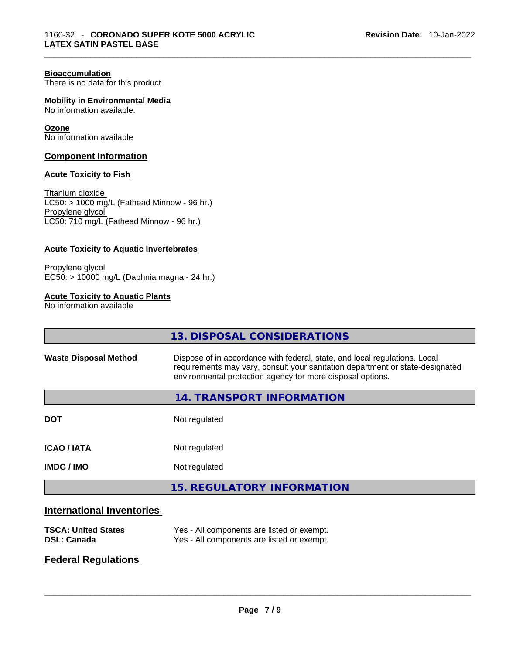# **Bioaccumulation**

There is no data for this product.

**Mobility in Environmental Media** No information available.

**Ozone**

No information available

# **Component Information**

### **Acute Toxicity to Fish**

Titanium dioxide  $LC50:$  > 1000 mg/L (Fathead Minnow - 96 hr.) Propylene glycol LC50: 710 mg/L (Fathead Minnow - 96 hr.)

### **Acute Toxicity to Aquatic Invertebrates**

Propylene glycol EC50: > 10000 mg/L (Daphnia magna - 24 hr.)

# **Acute Toxicity to Aquatic Plants**

No information available

|                                  | 13. DISPOSAL CONSIDERATIONS                                                                                                                                                                                               |
|----------------------------------|---------------------------------------------------------------------------------------------------------------------------------------------------------------------------------------------------------------------------|
| <b>Waste Disposal Method</b>     | Dispose of in accordance with federal, state, and local regulations. Local<br>requirements may vary, consult your sanitation department or state-designated<br>environmental protection agency for more disposal options. |
|                                  | <b>14. TRANSPORT INFORMATION</b>                                                                                                                                                                                          |
| <b>DOT</b>                       | Not regulated                                                                                                                                                                                                             |
| <b>ICAO/IATA</b>                 | Not regulated                                                                                                                                                                                                             |
| <b>IMDG/IMO</b>                  | Not regulated                                                                                                                                                                                                             |
|                                  | <b>15. REGULATORY INFORMATION</b>                                                                                                                                                                                         |
| <b>International Inventories</b> |                                                                                                                                                                                                                           |
| <b>TSCA: United States</b>       | Yes - All components are listed or exempt.                                                                                                                                                                                |

# **Federal Regulations**

 $\_$  ,  $\_$  ,  $\_$  ,  $\_$  ,  $\_$  ,  $\_$  ,  $\_$  ,  $\_$  ,  $\_$  ,  $\_$  ,  $\_$  ,  $\_$  ,  $\_$  ,  $\_$  ,  $\_$  ,  $\_$  ,  $\_$  ,  $\_$  ,  $\_$  ,  $\_$  ,  $\_$  ,  $\_$  ,  $\_$  ,  $\_$  ,  $\_$  ,  $\_$  ,  $\_$  ,  $\_$  ,  $\_$  ,  $\_$  ,  $\_$  ,  $\_$  ,  $\_$  ,  $\_$  ,  $\_$  ,  $\_$  ,  $\_$  ,

**DSL: Canada** Yes - All components are listed or exempt.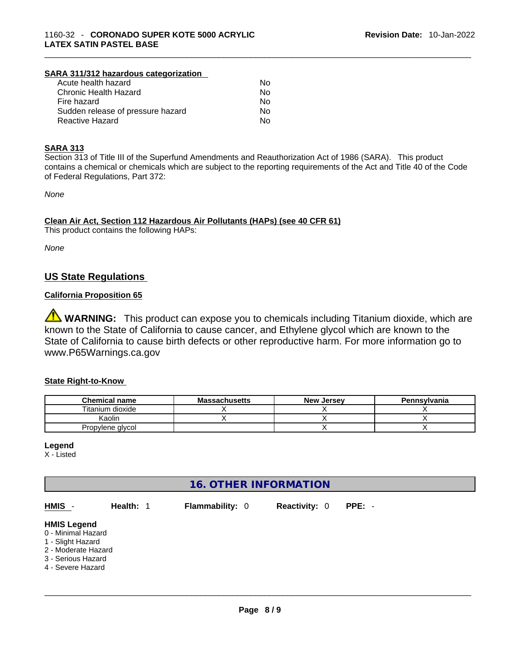# **SARA 311/312 hazardous categorization**

| Acute health hazard               | Nο |  |
|-----------------------------------|----|--|
| Chronic Health Hazard             | No |  |
| Fire hazard                       | Nο |  |
| Sudden release of pressure hazard | No |  |
| Reactive Hazard                   | Nο |  |
|                                   |    |  |

# **SARA 313**

Section 313 of Title III of the Superfund Amendments and Reauthorization Act of 1986 (SARA). This product contains a chemical or chemicals which are subject to the reporting requirements of the Act and Title 40 of the Code of Federal Regulations, Part 372:

*None*

**Clean Air Act,Section 112 Hazardous Air Pollutants (HAPs) (see 40 CFR 61)**

This product contains the following HAPs:

*None*

# **US State Regulations**

# **California Proposition 65**

**WARNING:** This product can expose you to chemicals including Titanium dioxide, which are known to the State of California to cause cancer, and Ethylene glycol which are known to the State of California to cause birth defects or other reproductive harm. For more information go to www.P65Warnings.ca.gov

# **State Right-to-Know**

| <b>Chemical name</b> | <b>Massachusetts</b> | <b>New Jersey</b> | <b>Pennsylvania</b> |
|----------------------|----------------------|-------------------|---------------------|
| Titanium dioxide     |                      |                   |                     |
| Kaolin               |                      |                   |                     |
| Propylene glycol     |                      |                   |                     |

**Legend**

X - Listed

# **16. OTHER INFORMATION**

| HMIS -                                                                                                                          | Health: 1 | <b>Flammability: 0</b> | <b>Reactivity: 0</b> | $PPE: -$ |
|---------------------------------------------------------------------------------------------------------------------------------|-----------|------------------------|----------------------|----------|
| <b>HMIS Legend</b><br>0 - Minimal Hazard<br>1 - Slight Hazard<br>2 - Moderate Hazard<br>3 - Serious Hazard<br>4 - Severe Hazard |           |                        |                      |          |